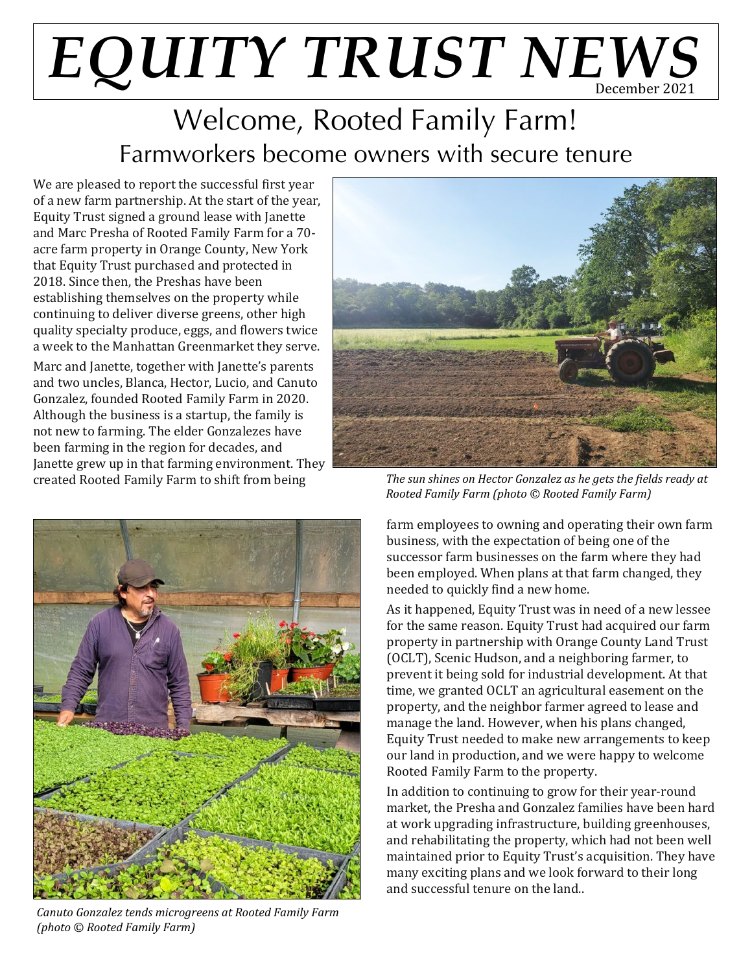# $E\mathcal{Q}$ *UITY TRUST NEWS*

### Welcome, Rooted Family Farm! Farmworkers become owners with secure tenure

We are pleased to report the successful first year of a new farm partnership. At the start of the year, Equity Trust signed a ground lease with Janette and Marc Presha of Rooted Family Farm for a 70 acre farm property in Orange County, New York that Equity Trust purchased and protected in 2018. Since then, the Preshas have been establishing themselves on the property while continuing to deliver diverse greens, other high quality specialty produce, eggs, and flowers twice a week to the Manhattan Greenmarket they serve.

Marc and Janette, together with Janette's parents and two uncles, Blanca, Hector, Lucio, and Canuto Gonzalez, founded Rooted Family Farm in 2020. Although the business is a startup, the family is not new to farming. The elder Gonzalezes have been farming in the region for decades, and Janette grew up in that farming environment. They created Rooted Family Farm to shift from being



*Canuto Gonzalez tends microgreens at Rooted Family Farm (photo © Rooted Family Farm)*



*The sun shines on Hector Gonzalez as he gets the fields ready at Rooted Family Farm (photo © Rooted Family Farm)*

farm employees to owning and operating their own farm business, with the expectation of being one of the successor farm businesses on the farm where they had been employed. When plans at that farm changed, they needed to quickly find a new home.

As it happened, Equity Trust was in need of a new lessee for the same reason. Equity Trust had acquired our farm property in partnership with Orange County Land Trust (OCLT), Scenic Hudson, and a neighboring farmer, to prevent it being sold for industrial development. At that time, we granted OCLT an agricultural easement on the property, and the neighbor farmer agreed to lease and manage the land. However, when his plans changed, Equity Trust needed to make new arrangements to keep our land in production, and we were happy to welcome Rooted Family Farm to the property.

In addition to continuing to grow for their year-round market, the Presha and Gonzalez families have been hard at work upgrading infrastructure, building greenhouses, and rehabilitating the property, which had not been well maintained prior to Equity Trust's acquisition. They have many exciting plans and we look forward to their long and successful tenure on the land..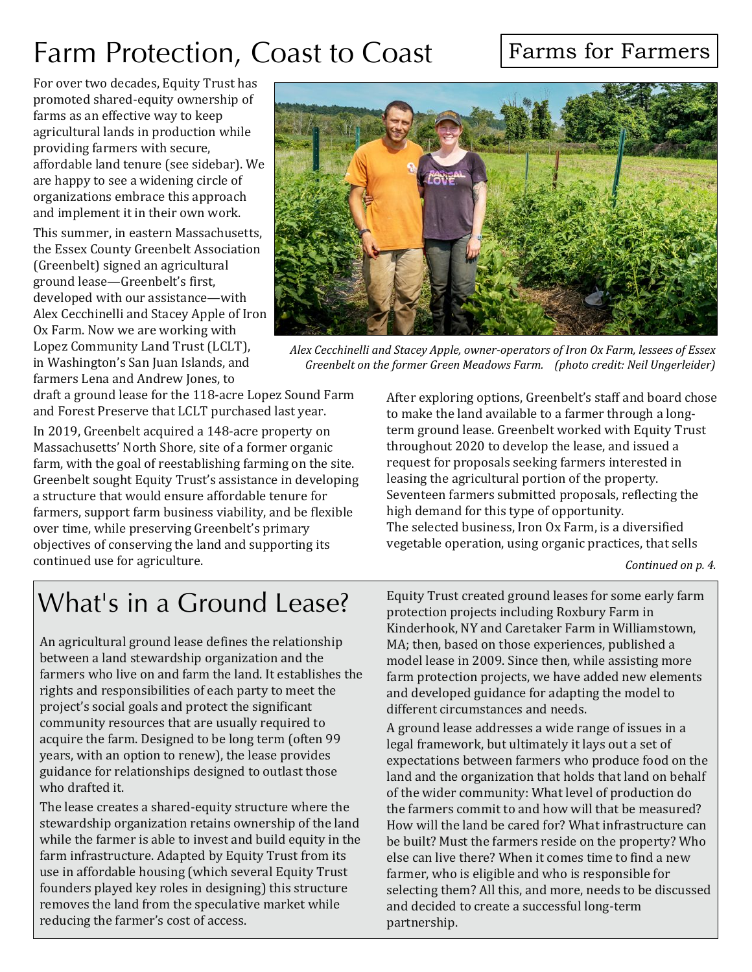## Farm Protection, Coast to Coast

#### Farms for Farmers

For over two decades, Equity Trust has promoted shared-equity ownership of farms as an effective way to keep agricultural lands in production while providing farmers with secure, affordable land tenure (see sidebar). We are happy to see a widening circle of organizations embrace this approach and implement it in their own work.

This summer, in eastern Massachusetts, the Essex County Greenbelt Association (Greenbelt) signed an agricultural ground lease—Greenbelt's first, developed with our assistance—with Alex Cecchinelli and Stacey Apple of Iron Ox Farm. Now we are working with Lopez Community Land Trust (LCLT), in Washington's San Juan Islands, and farmers Lena and Andrew Jones, to

draft a ground lease for the 118-acre Lopez Sound Farm and Forest Preserve that LCLT purchased last year. In 2019, Greenbelt acquired a 148-acre property on Massachusetts' North Shore, site of a former organic farm, with the goal of reestablishing farming on the site. Greenbelt sought Equity Trust's assistance in developing a structure that would ensure affordable tenure for farmers, support farm business viability, and be flexible over time, while preserving Greenbelt's primary objectives of conserving the land and supporting its continued use for agriculture.



*Alex Cecchinelli and Stacey Apple, owner-operators of Iron Ox Farm, lessees of Essex Greenbelt on the former Green Meadows Farm. (photo credit: Neil Ungerleider)*

After exploring options, Greenbelt's staff and board chose to make the land available to a farmer through a longterm ground lease. Greenbelt worked with Equity Trust throughout 2020 to develop the lease, and issued a request for proposals seeking farmers interested in leasing the agricultural portion of the property. Seventeen farmers submitted proposals, reflecting the high demand for this type of opportunity. The selected business, Iron Ox Farm, is a diversified vegetable operation, using organic practices, that sells

#### *Continued on p. 4.*

## What's in a Ground Lease?

An agricultural ground lease defines the relationship between a land stewardship organization and the farmers who live on and farm the land. It establishes the rights and responsibilities of each party to meet the project's social goals and protect the significant community resources that are usually required to acquire the farm. Designed to be long term (often 99 years, with an option to renew), the lease provides guidance for relationships designed to outlast those who drafted it.

The lease creates a shared-equity structure where the stewardship organization retains ownership of the land while the farmer is able to invest and build equity in the farm infrastructure. Adapted by Equity Trust from its use in affordable housing (which several Equity Trust founders played key roles in designing) this structure removes the land from the speculative market while reducing the farmer's cost of access.

Equity Trust created ground leases for some early farm protection projects including Roxbury Farm in Kinderhook, NY and Caretaker Farm in Williamstown, MA; then, based on those experiences, published a model lease in 2009. Since then, while assisting more farm protection projects, we have added new elements and developed guidance for adapting the model to different circumstances and needs.

A ground lease addresses a wide range of issues in a legal framework, but ultimately it lays out a set of expectations between farmers who produce food on the land and the organization that holds that land on behalf of the wider community: What level of production do the farmers commit to and how will that be measured? How will the land be cared for? What infrastructure can be built? Must the farmers reside on the property? Who else can live there? When it comes time to find a new farmer, who is eligible and who is responsible for selecting them? All this, and more, needs to be discussed and decided to create a successful long-term partnership.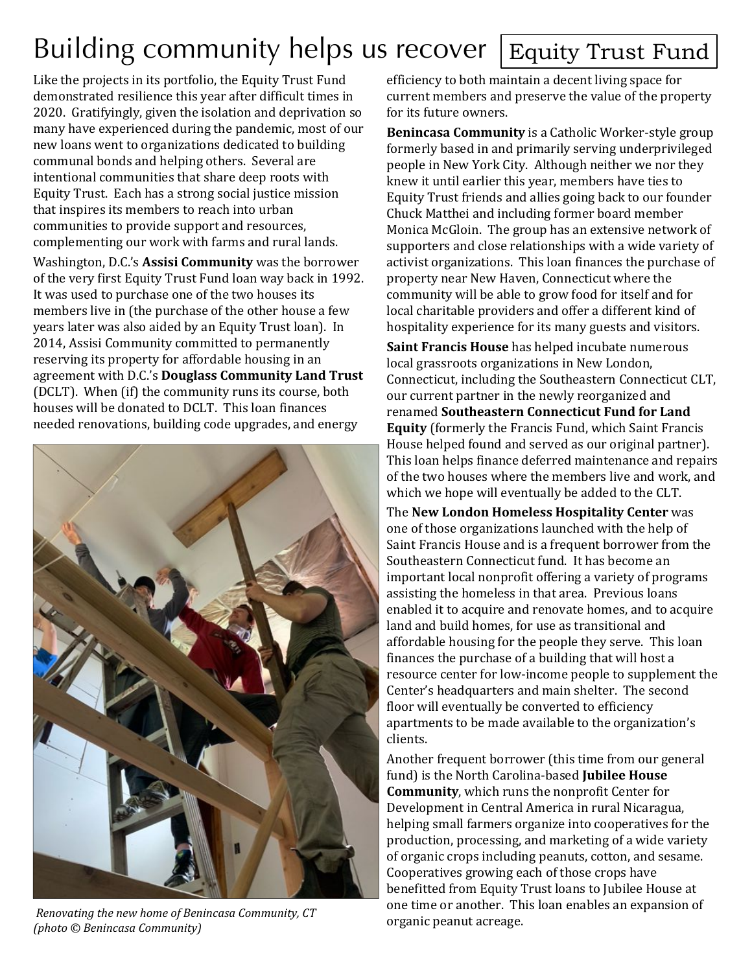# Building community helps us recover Equity Trust Fund

Like the projects in its portfolio, the Equity Trust Fund demonstrated resilience this year after difficult times in 2020. Gratifyingly, given the isolation and deprivation so many have experienced during the pandemic, most of our new loans went to organizations dedicated to building communal bonds and helping others. Several are intentional communities that share deep roots with Equity Trust. Each has a strong social justice mission that inspires its members to reach into urban communities to provide support and resources, complementing our work with farms and rural lands.

Washington, D.C.'s **Assisi Community** was the borrower of the very first Equity Trust Fund loan way back in 1992. It was used to purchase one of the two houses its members live in (the purchase of the other house a few years later was also aided by an Equity Trust loan). In 2014, Assisi Community committed to permanently reserving its property for affordable housing in an agreement with D.C.'s **Douglass Community Land Trust** (DCLT). When (if) the community runs its course, both houses will be donated to DCLT. This loan finances needed renovations, building code upgrades, and energy



*Renovating the new home of Benincasa Community, CT (photo © Benincasa Community)*

efficiency to both maintain a decent living space for current members and preserve the value of the property for its future owners.

**Benincasa Community** is a Catholic Worker-style group formerly based in and primarily serving underprivileged people in New York City. Although neither we nor they knew it until earlier this year, members have ties to Equity Trust friends and allies going back to our founder Chuck Matthei and including former board member Monica McGloin. The group has an extensive network of supporters and close relationships with a wide variety of activist organizations. This loan finances the purchase of property near New Haven, Connecticut where the community will be able to grow food for itself and for local charitable providers and offer a different kind of hospitality experience for its many guests and visitors.

**Saint Francis House** has helped incubate numerous local grassroots organizations in New London, Connecticut, including the Southeastern Connecticut CLT, our current partner in the newly reorganized and renamed **Southeastern Connecticut Fund for Land Equity** (formerly the Francis Fund, which Saint Francis House helped found and served as our original partner). This loan helps finance deferred maintenance and repairs of the two houses where the members live and work, and which we hope will eventually be added to the CLT.

The **New London Homeless Hospitality Center** was one of those organizations launched with the help of Saint Francis House and is a frequent borrower from the Southeastern Connecticut fund. It has become an important local nonprofit offering a variety of programs assisting the homeless in that area. Previous loans enabled it to acquire and renovate homes, and to acquire land and build homes, for use as transitional and affordable housing for the people they serve. This loan finances the purchase of a building that will host a resource center for low-income people to supplement the Center's headquarters and main shelter. The second floor will eventually be converted to efficiency apartments to be made available to the organization's clients.

Another frequent borrower (this time from our general fund) is the North Carolina-based **Jubilee House Community**, which runs the nonprofit Center for Development in Central America in rural Nicaragua, helping small farmers organize into cooperatives for the production, processing, and marketing of a wide variety of organic crops including peanuts, cotton, and sesame. Cooperatives growing each of those crops have benefitted from Equity Trust loans to Jubilee House at one time or another. This loan enables an expansion of organic peanut acreage.